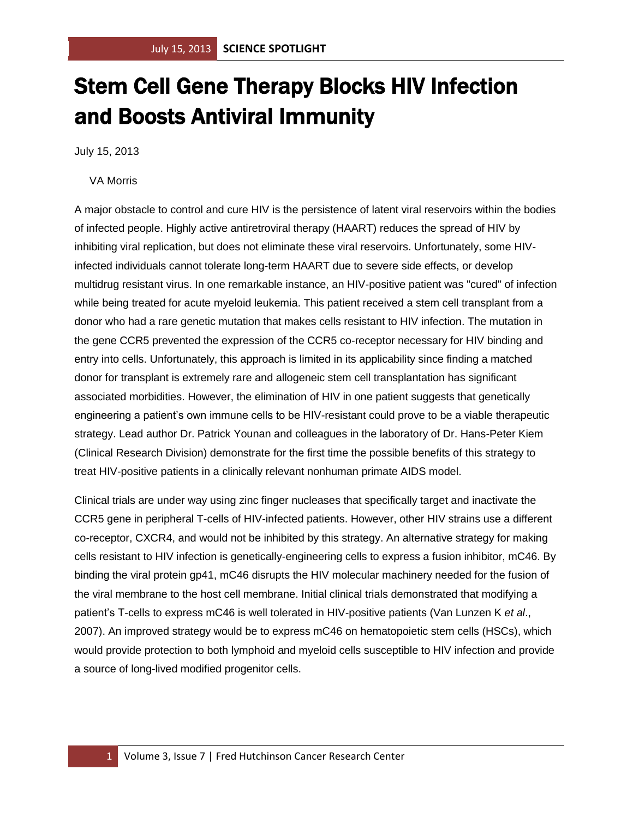## Stem Cell Gene Therapy Blocks HIV Infection and Boosts Antiviral Immunity

July 15, 2013

## VA Morris

A major obstacle to control and cure HIV is the persistence of latent viral reservoirs within the bodies of infected people. Highly active antiretroviral therapy (HAART) reduces the spread of HIV by inhibiting viral replication, but does not eliminate these viral reservoirs. Unfortunately, some HIVinfected individuals cannot tolerate long-term HAART due to severe side effects, or develop multidrug resistant virus. In one remarkable instance, an HIV-positive patient was "cured" of infection while being treated for acute myeloid leukemia. This patient received a stem cell transplant from a donor who had a rare genetic mutation that makes cells resistant to HIV infection. The mutation in the gene CCR5 prevented the expression of the CCR5 co-receptor necessary for HIV binding and entry into cells. Unfortunately, this approach is limited in its applicability since finding a matched donor for transplant is extremely rare and allogeneic stem cell transplantation has significant associated morbidities. However, the elimination of HIV in one patient suggests that genetically engineering a patient's own immune cells to be HIV-resistant could prove to be a viable therapeutic strategy. Lead author Dr. Patrick Younan and colleagues in the laboratory of Dr. Hans-Peter Kiem (Clinical Research Division) demonstrate for the first time the possible benefits of this strategy to treat HIV-positive patients in a clinically relevant nonhuman primate AIDS model.

Clinical trials are under way using zinc finger nucleases that specifically target and inactivate the CCR5 gene in peripheral T-cells of HIV-infected patients. However, other HIV strains use a different co-receptor, CXCR4, and would not be inhibited by this strategy. An alternative strategy for making cells resistant to HIV infection is genetically-engineering cells to express a fusion inhibitor, mC46. By binding the viral protein gp41, mC46 disrupts the HIV molecular machinery needed for the fusion of the viral membrane to the host cell membrane. Initial clinical trials demonstrated that modifying a patient's T-cells to express mC46 is well tolerated in HIV-positive patients (Van Lunzen K *et al*., 2007). An improved strategy would be to express mC46 on hematopoietic stem cells (HSCs), which would provide protection to both lymphoid and myeloid cells susceptible to HIV infection and provide a source of long-lived modified progenitor cells.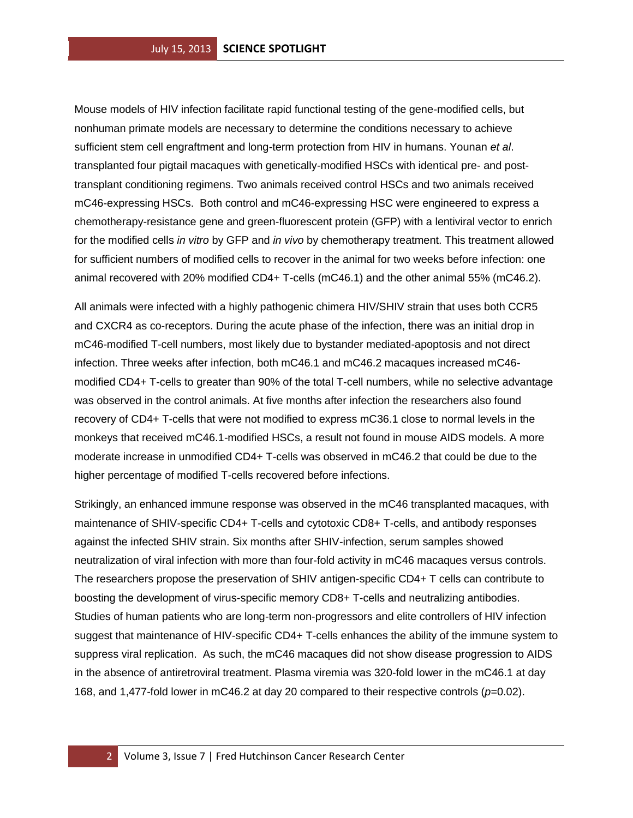Mouse models of HIV infection facilitate rapid functional testing of the gene-modified cells, but nonhuman primate models are necessary to determine the conditions necessary to achieve sufficient stem cell engraftment and long-term protection from HIV in humans. Younan *et al*. transplanted four pigtail macaques with genetically-modified HSCs with identical pre- and posttransplant conditioning regimens. Two animals received control HSCs and two animals received mC46-expressing HSCs. Both control and mC46-expressing HSC were engineered to express a chemotherapy-resistance gene and green-fluorescent protein (GFP) with a lentiviral vector to enrich for the modified cells *in vitro* by GFP and *in vivo* by chemotherapy treatment. This treatment allowed for sufficient numbers of modified cells to recover in the animal for two weeks before infection: one animal recovered with 20% modified CD4+ T-cells (mC46.1) and the other animal 55% (mC46.2).

All animals were infected with a highly pathogenic chimera HIV/SHIV strain that uses both CCR5 and CXCR4 as co-receptors. During the acute phase of the infection, there was an initial drop in mC46-modified T-cell numbers, most likely due to bystander mediated-apoptosis and not direct infection. Three weeks after infection, both mC46.1 and mC46.2 macaques increased mC46 modified CD4+ T-cells to greater than 90% of the total T-cell numbers, while no selective advantage was observed in the control animals. At five months after infection the researchers also found recovery of CD4+ T-cells that were not modified to express mC36.1 close to normal levels in the monkeys that received mC46.1-modified HSCs, a result not found in mouse AIDS models. A more moderate increase in unmodified CD4+ T-cells was observed in mC46.2 that could be due to the higher percentage of modified T-cells recovered before infections.

Strikingly, an enhanced immune response was observed in the mC46 transplanted macaques, with maintenance of SHIV-specific CD4+ T-cells and cytotoxic CD8+ T-cells, and antibody responses against the infected SHIV strain. Six months after SHIV-infection, serum samples showed neutralization of viral infection with more than four-fold activity in mC46 macaques versus controls. The researchers propose the preservation of SHIV antigen-specific CD4+ T cells can contribute to boosting the development of virus-specific memory CD8+ T-cells and neutralizing antibodies. Studies of human patients who are long-term non-progressors and elite controllers of HIV infection suggest that maintenance of HIV-specific CD4+ T-cells enhances the ability of the immune system to suppress viral replication. As such, the mC46 macaques did not show disease progression to AIDS in the absence of antiretroviral treatment. Plasma viremia was 320-fold lower in the mC46.1 at day 168, and 1,477-fold lower in mC46.2 at day 20 compared to their respective controls (*p*=0.02).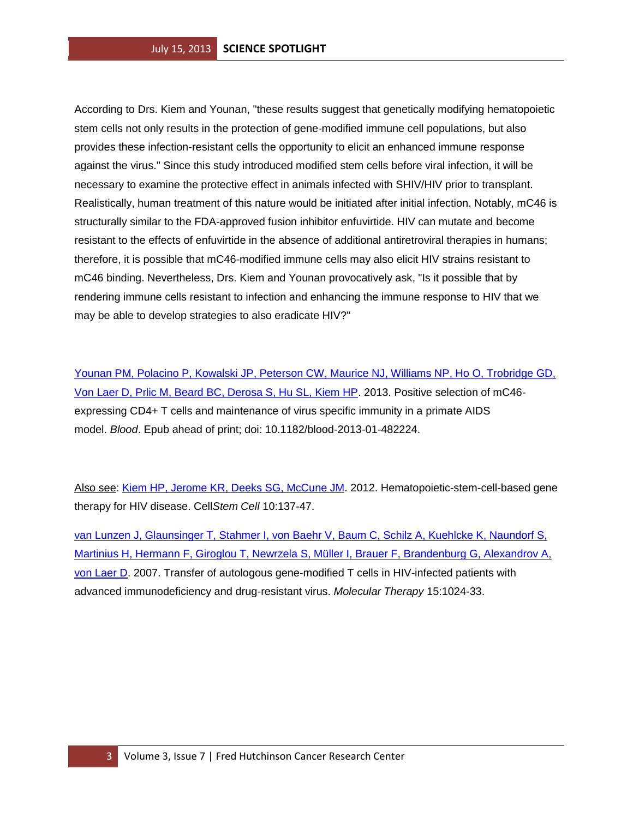According to Drs. Kiem and Younan, "these results suggest that genetically modifying hematopoietic stem cells not only results in the protection of gene-modified immune cell populations, but also provides these infection-resistant cells the opportunity to elicit an enhanced immune response against the virus." Since this study introduced modified stem cells before viral infection, it will be necessary to examine the protective effect in animals infected with SHIV/HIV prior to transplant. Realistically, human treatment of this nature would be initiated after initial infection. Notably, mC46 is structurally similar to the FDA-approved fusion inhibitor enfuvirtide. HIV can mutate and become resistant to the effects of enfuvirtide in the absence of additional antiretroviral therapies in humans; therefore, it is possible that mC46-modified immune cells may also elicit HIV strains resistant to mC46 binding. Nevertheless, Drs. Kiem and Younan provocatively ask, "Is it possible that by rendering immune cells resistant to infection and enhancing the immune response to HIV that we may be able to develop strategies to also eradicate HIV?"

[Younan PM, Polacino P, Kowalski JP, Peterson CW, Maurice NJ, Williams NP, Ho O, Trobridge GD,](http://www.ncbi.nlm.nih.gov/pubmed/23719296?otool=fhcrclib)  [Von Laer D, Prlic M, Beard BC, Derosa S, Hu SL, Kiem HP.](http://www.ncbi.nlm.nih.gov/pubmed/23719296?otool=fhcrclib) 2013. Positive selection of mC46 expressing CD4+ T cells and maintenance of virus specific immunity in a primate AIDS model. *Blood*. Epub ahead of print; doi: 10.1182/blood-2013-01-482224.

Also see: [Kiem HP, Jerome KR, Deeks SG, McCune JM.](http://www.ncbi.nlm.nih.gov/pubmed/22305563?otool=fhcrclib) 2012. Hematopoietic-stem-cell-based gene therapy for HIV disease. Cell*Stem Cell* 10:137-47.

[van Lunzen J, Glaunsinger T, Stahmer I, von Baehr V, Baum C, Schilz A, Kuehlcke K, Naundorf S,](http://www.ncbi.nlm.nih.gov/pubmed/17356541?otool=fhcrclib)  [Martinius H, Hermann F, Giroglou T, Newrzela S, Müller I, Brauer F, Brandenburg G, Alexandrov A,](http://www.ncbi.nlm.nih.gov/pubmed/17356541?otool=fhcrclib)  [von Laer D.](http://www.ncbi.nlm.nih.gov/pubmed/17356541?otool=fhcrclib) 2007. Transfer of autologous gene-modified T cells in HIV-infected patients with advanced immunodeficiency and drug-resistant virus. *Molecular Therapy* 15:1024-33.